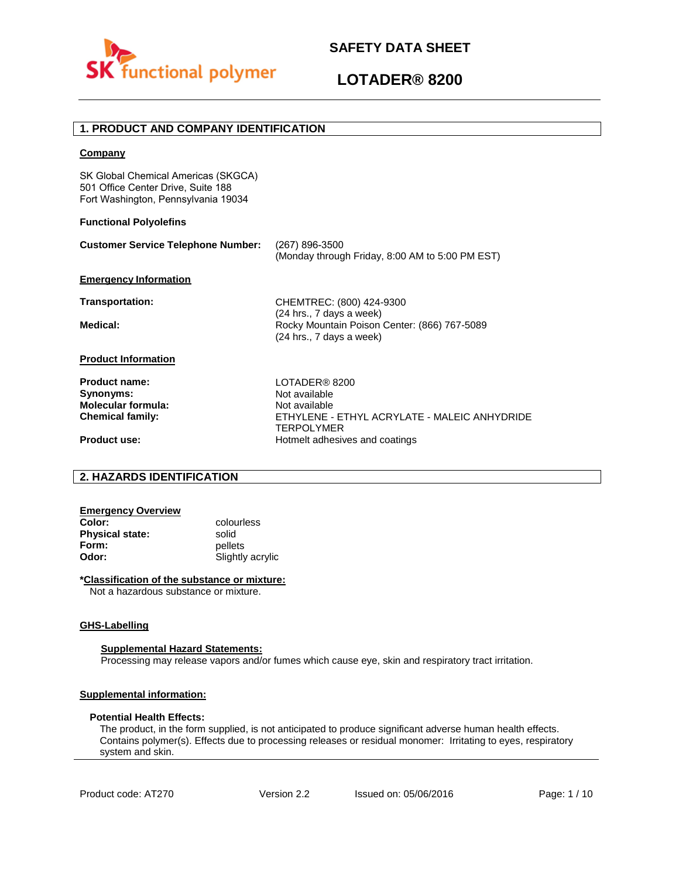

# **LOTADER® 8200**

# **1. PRODUCT AND COMPANY IDENTIFICATION**

### **Company**

SK Global Chemical Americas (SKGCA) 501 Office Center Drive, Suite 188 Fort Washington, Pennsylvania 19034

#### **Functional Polyolefins**

| <b>Customer Service Telephone Number:</b> | (267) 896-3500<br>(Monday through Friday, 8:00 AM to 5:00 PM EST)                                    |
|-------------------------------------------|------------------------------------------------------------------------------------------------------|
| <b>Emergency Information</b>              |                                                                                                      |
| <b>Transportation:</b>                    | CHEMTREC: (800) 424-9300                                                                             |
| Medical:                                  | (24 hrs., 7 days a week)<br>Rocky Mountain Poison Center: (866) 767-5089<br>(24 hrs., 7 days a week) |
| <b>Product Information</b>                |                                                                                                      |
| <b>Product name:</b>                      | LOTADER® 8200                                                                                        |
| Synonyms:                                 | Not available                                                                                        |
| Molecular formula:                        | Not available                                                                                        |
| <b>Chemical family:</b>                   | ETHYLENE - ETHYL ACRYLATE - MALEIC ANHYDRIDE<br><b>TERPOLYMER</b>                                    |
| <b>Product use:</b>                       | Hotmelt adhesives and coatings                                                                       |

# **2. HAZARDS IDENTIFICATION**

| <b>Emergency Overview</b> |                  |
|---------------------------|------------------|
| Color:                    | colourless       |
| <b>Physical state:</b>    | solid            |
| Form:                     | pellets          |
| Odor:                     | Slightly acrylic |

#### **\*Classification of the substance or mixture:**

Not a hazardous substance or mixture.

#### **GHS-Labelling**

#### **Supplemental Hazard Statements:**

Processing may release vapors and/or fumes which cause eye, skin and respiratory tract irritation.

## **Supplemental information:**

#### **Potential Health Effects:**

The product, in the form supplied, is not anticipated to produce significant adverse human health effects. Contains polymer(s). Effects due to processing releases or residual monomer: Irritating to eyes, respiratory system and skin.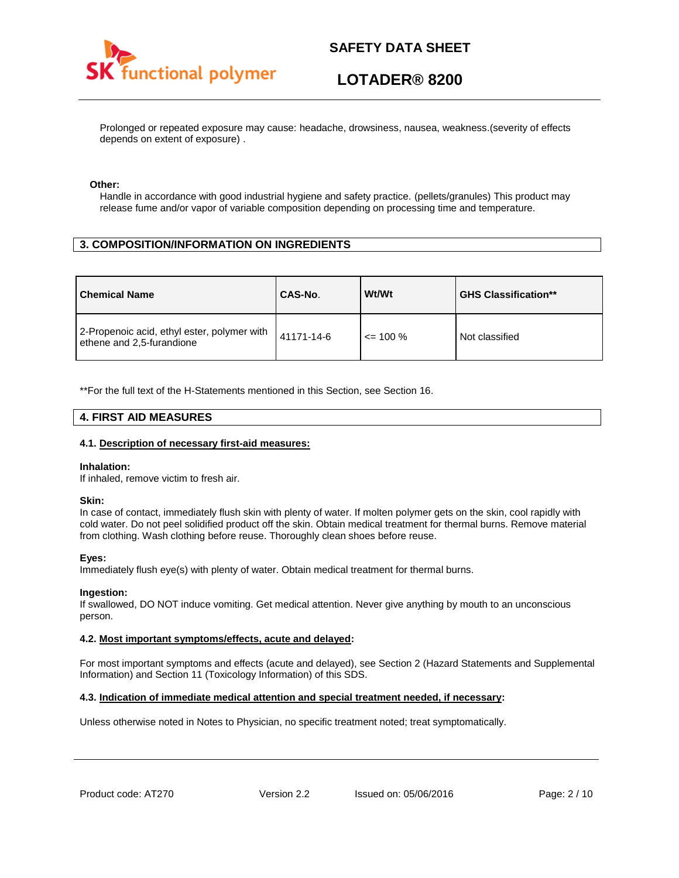

# **LOTADER® 8200**

Prolonged or repeated exposure may cause: headache, drowsiness, nausea, weakness.(severity of effects depends on extent of exposure) .

#### **Other:**

Handle in accordance with good industrial hygiene and safety practice. (pellets/granules) This product may release fume and/or vapor of variable composition depending on processing time and temperature.

# **3. COMPOSITION/INFORMATION ON INGREDIENTS**

| <b>Chemical Name</b>                                                     | CAS-No.    | Wt/Wt        | <b>GHS Classification**</b> |
|--------------------------------------------------------------------------|------------|--------------|-----------------------------|
| 2-Propenoic acid, ethyl ester, polymer with<br>ethene and 2,5-furandione | 41171-14-6 | $\leq$ 100 % | Not classified              |

\*\*For the full text of the H-Statements mentioned in this Section, see Section 16.

## **4. FIRST AID MEASURES**

### **4.1. Description of necessary first-aid measures:**

#### **Inhalation:**

If inhaled, remove victim to fresh air.

#### **Skin:**

In case of contact, immediately flush skin with plenty of water. If molten polymer gets on the skin, cool rapidly with cold water. Do not peel solidified product off the skin. Obtain medical treatment for thermal burns. Remove material from clothing. Wash clothing before reuse. Thoroughly clean shoes before reuse.

## **Eyes:**

Immediately flush eye(s) with plenty of water. Obtain medical treatment for thermal burns.

#### **Ingestion:**

If swallowed, DO NOT induce vomiting. Get medical attention. Never give anything by mouth to an unconscious person.

## **4.2. Most important symptoms/effects, acute and delayed:**

For most important symptoms and effects (acute and delayed), see Section 2 (Hazard Statements and Supplemental Information) and Section 11 (Toxicology Information) of this SDS.

## **4.3. Indication of immediate medical attention and special treatment needed, if necessary:**

Unless otherwise noted in Notes to Physician, no specific treatment noted; treat symptomatically.

Product code: AT270 Version 2.2 Issued on: 05/06/2016 Page: 2/10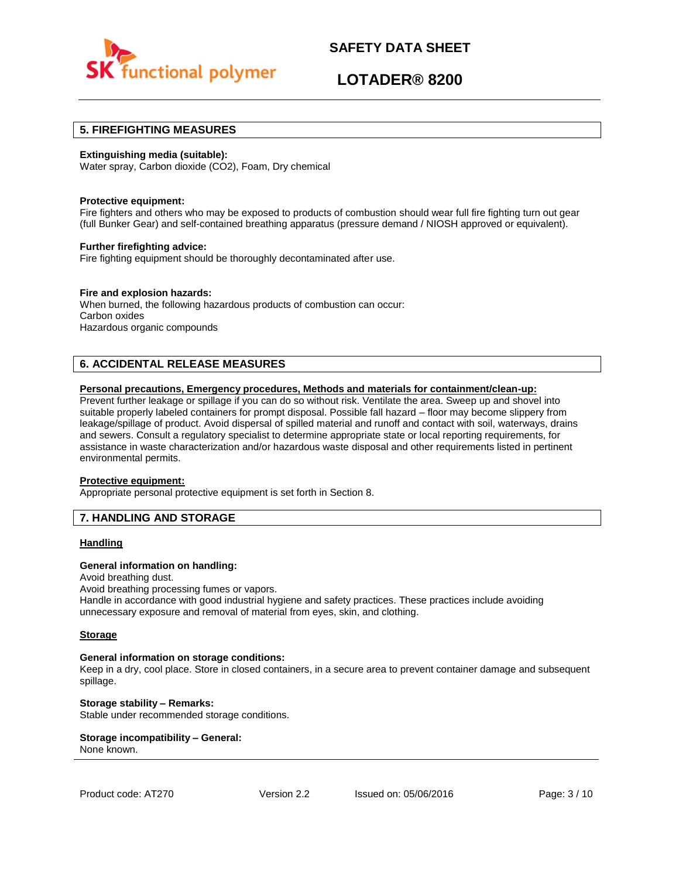

# **LOTADER® 8200**

## **5. FIREFIGHTING MEASURES**

### **Extinguishing media (suitable):**

Water spray, Carbon dioxide (CO2), Foam, Dry chemical

#### **Protective equipment:**

Fire fighters and others who may be exposed to products of combustion should wear full fire fighting turn out gear (full Bunker Gear) and self-contained breathing apparatus (pressure demand / NIOSH approved or equivalent).

#### **Further firefighting advice:**

Fire fighting equipment should be thoroughly decontaminated after use.

## **Fire and explosion hazards:**

When burned, the following hazardous products of combustion can occur: Carbon oxides Hazardous organic compounds

# **6. ACCIDENTAL RELEASE MEASURES**

#### **Personal precautions, Emergency procedures, Methods and materials for containment/clean-up:**

Prevent further leakage or spillage if you can do so without risk. Ventilate the area. Sweep up and shovel into suitable properly labeled containers for prompt disposal. Possible fall hazard – floor may become slippery from leakage/spillage of product. Avoid dispersal of spilled material and runoff and contact with soil, waterways, drains and sewers. Consult a regulatory specialist to determine appropriate state or local reporting requirements, for assistance in waste characterization and/or hazardous waste disposal and other requirements listed in pertinent environmental permits.

#### **Protective equipment:**

Appropriate personal protective equipment is set forth in Section 8.

## **7. HANDLING AND STORAGE**

## **Handling**

#### **General information on handling:**

Avoid breathing dust.

Avoid breathing processing fumes or vapors.

Handle in accordance with good industrial hygiene and safety practices. These practices include avoiding unnecessary exposure and removal of material from eyes, skin, and clothing.

#### **Storage**

#### **General information on storage conditions:**

Keep in a dry, cool place. Store in closed containers, in a secure area to prevent container damage and subsequent spillage.

**Storage stability – Remarks:**  Stable under recommended storage conditions.

#### **Storage incompatibility – General:**  None known.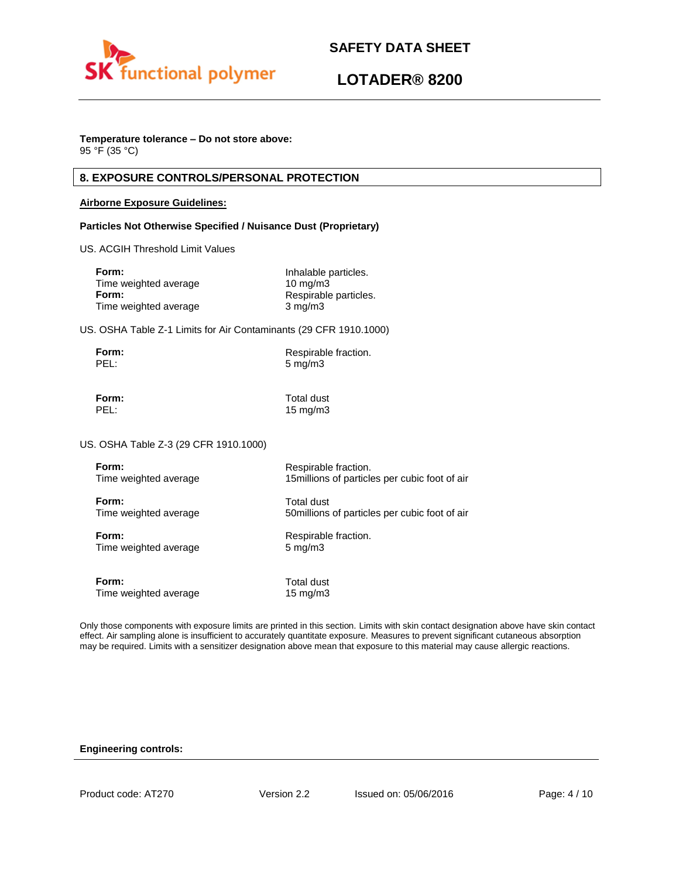

# **LOTADER® 8200**

# **Temperature tolerance – Do not store above:**

95 °F (35 °C)

# **8. EXPOSURE CONTROLS/PERSONAL PROTECTION**

## **Airborne Exposure Guidelines:**

## **Particles Not Otherwise Specified / Nuisance Dust (Proprietary)**

US. ACGIH Threshold Limit Values

| Inhalable particles.  |
|-----------------------|
| $10 \text{ mg/m}$     |
| Respirable particles. |
| $3 \text{ mg/m}$      |
|                       |

US. OSHA Table Z-1 Limits for Air Contaminants (29 CFR 1910.1000)

| Form: | Respirable fraction. |
|-------|----------------------|
| PEL:  | $5 \,\mathrm{mg/m}$  |

**Form:** Total dust PEL: 15 mg/m3

US. OSHA Table Z-3 (29 CFR 1910.1000)

| Form:                 | Respirable fraction.                           |
|-----------------------|------------------------------------------------|
| Time weighted average | 15 millions of particles per cubic foot of air |
| Form:                 | Total dust                                     |
| Time weighted average | 50 millions of particles per cubic foot of air |
| Form:                 | Respirable fraction.                           |
| Time weighted average | $5 \text{ mg/m}$                               |
| Form:                 | Total dust                                     |
| Time weighted average | $15 \text{ mg/m}$                              |

Only those components with exposure limits are printed in this section. Limits with skin contact designation above have skin contact effect. Air sampling alone is insufficient to accurately quantitate exposure. Measures to prevent significant cutaneous absorption may be required. Limits with a sensitizer designation above mean that exposure to this material may cause allergic reactions.

## **Engineering controls:**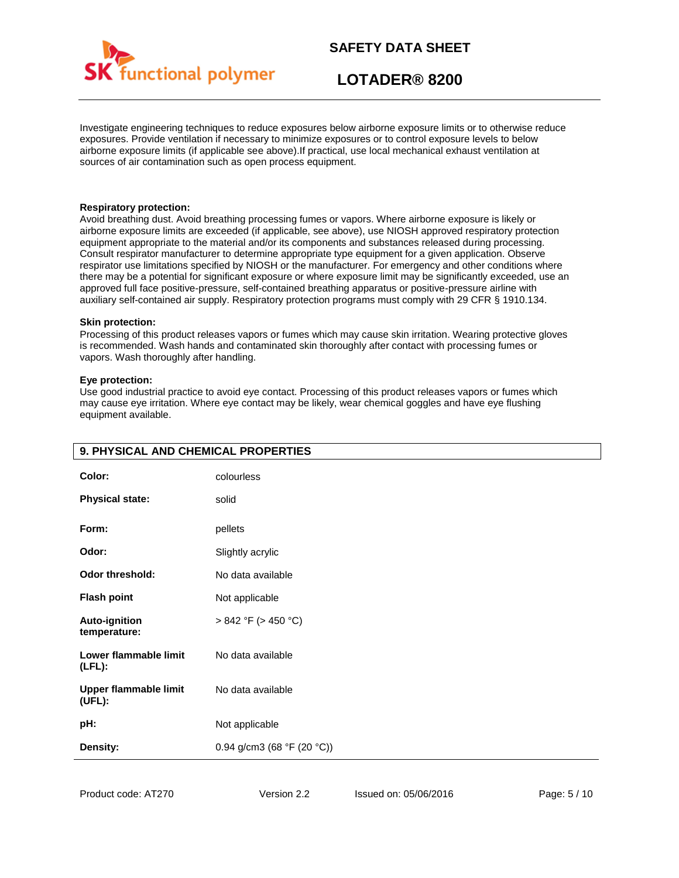

# **LOTADER® 8200**

Investigate engineering techniques to reduce exposures below airborne exposure limits or to otherwise reduce exposures. Provide ventilation if necessary to minimize exposures or to control exposure levels to below airborne exposure limits (if applicable see above).If practical, use local mechanical exhaust ventilation at sources of air contamination such as open process equipment.

#### **Respiratory protection:**

Avoid breathing dust. Avoid breathing processing fumes or vapors. Where airborne exposure is likely or airborne exposure limits are exceeded (if applicable, see above), use NIOSH approved respiratory protection equipment appropriate to the material and/or its components and substances released during processing. Consult respirator manufacturer to determine appropriate type equipment for a given application. Observe respirator use limitations specified by NIOSH or the manufacturer. For emergency and other conditions where there may be a potential for significant exposure or where exposure limit may be significantly exceeded, use an approved full face positive-pressure, self-contained breathing apparatus or positive-pressure airline with auxiliary self-contained air supply. Respiratory protection programs must comply with 29 CFR § 1910.134.

#### **Skin protection:**

Processing of this product releases vapors or fumes which may cause skin irritation. Wearing protective gloves is recommended. Wash hands and contaminated skin thoroughly after contact with processing fumes or vapors. Wash thoroughly after handling.

#### **Eye protection:**

Use good industrial practice to avoid eye contact. Processing of this product releases vapors or fumes which may cause eye irritation. Where eye contact may be likely, wear chemical goggles and have eye flushing equipment available.

| Color:                                 | colourless                 |
|----------------------------------------|----------------------------|
| <b>Physical state:</b>                 | solid                      |
| Form:                                  | pellets                    |
| Odor:                                  | Slightly acrylic           |
| <b>Odor threshold:</b>                 | No data available          |
| <b>Flash point</b>                     | Not applicable             |
| Auto-ignition<br>temperature:          | $> 842$ °F ( $> 450$ °C)   |
| Lower flammable limit<br>$(LFL)$ :     | No data available          |
| <b>Upper flammable limit</b><br>(UFL): | No data available          |
| pH:                                    | Not applicable             |
| Density:                               | 0.94 g/cm3 (68 °F (20 °C)) |

# **9. PHYSICAL AND CHEMICAL PROPERTIES**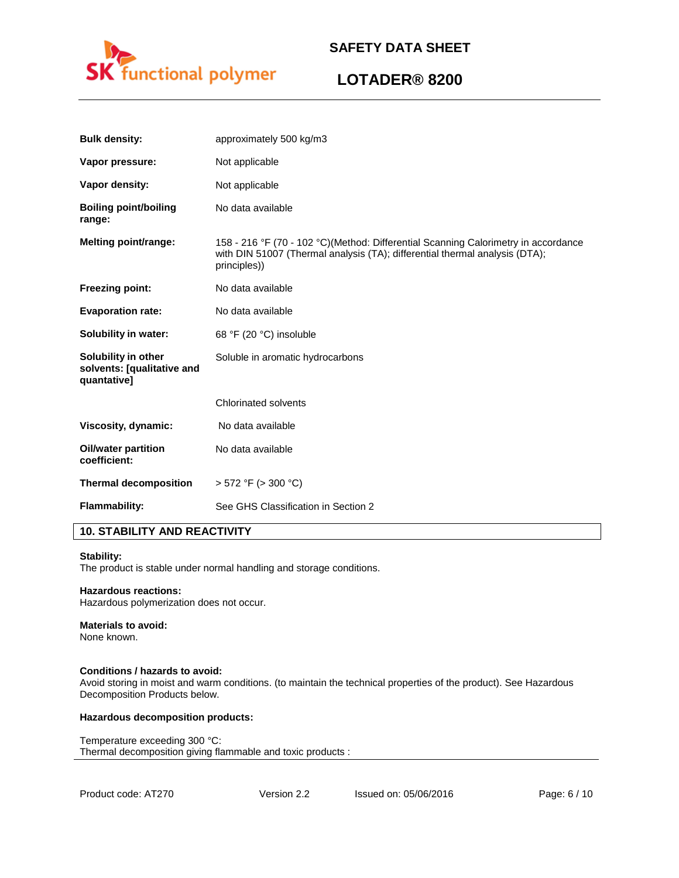

# **LOTADER® 8200**

| <b>Bulk density:</b>                                             | approximately 500 kg/m3                                                                                                                                                           |
|------------------------------------------------------------------|-----------------------------------------------------------------------------------------------------------------------------------------------------------------------------------|
| Vapor pressure:                                                  | Not applicable                                                                                                                                                                    |
| Vapor density:                                                   | Not applicable                                                                                                                                                                    |
| <b>Boiling point/boiling</b><br>range:                           | No data available                                                                                                                                                                 |
| <b>Melting point/range:</b>                                      | 158 - 216 °F (70 - 102 °C)(Method: Differential Scanning Calorimetry in accordance<br>with DIN 51007 (Thermal analysis (TA); differential thermal analysis (DTA);<br>principles)) |
| <b>Freezing point:</b>                                           | No data available                                                                                                                                                                 |
| <b>Evaporation rate:</b>                                         | No data available                                                                                                                                                                 |
| Solubility in water:                                             | 68 °F (20 °C) insoluble                                                                                                                                                           |
| Solubility in other<br>solvents: [qualitative and<br>quantative] | Soluble in aromatic hydrocarbons                                                                                                                                                  |
|                                                                  | <b>Chlorinated solvents</b>                                                                                                                                                       |
| Viscosity, dynamic:                                              | No data available                                                                                                                                                                 |
| Oil/water partition<br>coefficient:                              | No data available                                                                                                                                                                 |
| <b>Thermal decomposition</b>                                     | $> 572$ °F ( $> 300$ °C)                                                                                                                                                          |
| Flammability:                                                    | See GHS Classification in Section 2                                                                                                                                               |

# **10. STABILITY AND REACTIVITY**

#### **Stability:**

The product is stable under normal handling and storage conditions.

### **Hazardous reactions:**

Hazardous polymerization does not occur.

# **Materials to avoid:**

None known.

### **Conditions / hazards to avoid:**

Avoid storing in moist and warm conditions. (to maintain the technical properties of the product). See Hazardous Decomposition Products below.

#### **Hazardous decomposition products:**

Temperature exceeding 300 °C: Thermal decomposition giving flammable and toxic products :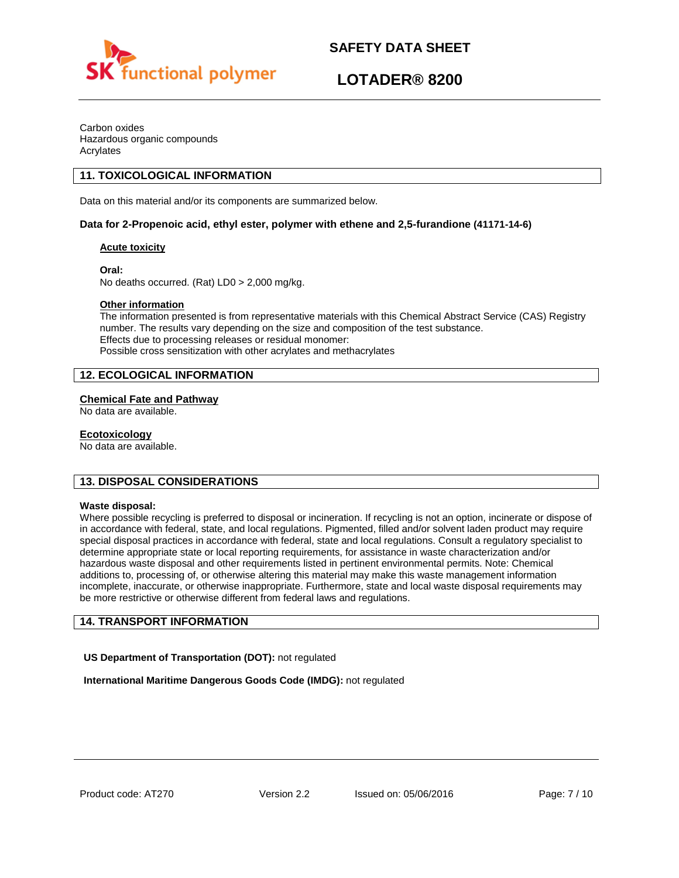

# **LOTADER® 8200**

Carbon oxides Hazardous organic compounds Acrylates

# **11. TOXICOLOGICAL INFORMATION**

Data on this material and/or its components are summarized below.

## **Data for 2-Propenoic acid, ethyl ester, polymer with ethene and 2,5-furandione (41171-14-6)**

## **Acute toxicity**

**Oral:**

No deaths occurred. (Rat) LD0 > 2,000 mg/kg.

## **Other information**

The information presented is from representative materials with this Chemical Abstract Service (CAS) Registry number. The results vary depending on the size and composition of the test substance. Effects due to processing releases or residual monomer: Possible cross sensitization with other acrylates and methacrylates

# **12. ECOLOGICAL INFORMATION**

## **Chemical Fate and Pathway**

No data are available.

## **Ecotoxicology**

No data are available.

# **13. DISPOSAL CONSIDERATIONS**

#### **Waste disposal:**

Where possible recycling is preferred to disposal or incineration. If recycling is not an option, incinerate or dispose of in accordance with federal, state, and local regulations. Pigmented, filled and/or solvent laden product may require special disposal practices in accordance with federal, state and local regulations. Consult a regulatory specialist to determine appropriate state or local reporting requirements, for assistance in waste characterization and/or hazardous waste disposal and other requirements listed in pertinent environmental permits. Note: Chemical additions to, processing of, or otherwise altering this material may make this waste management information incomplete, inaccurate, or otherwise inappropriate. Furthermore, state and local waste disposal requirements may be more restrictive or otherwise different from federal laws and regulations.

# **14. TRANSPORT INFORMATION**

**US Department of Transportation (DOT):** not regulated

**International Maritime Dangerous Goods Code (IMDG):** not regulated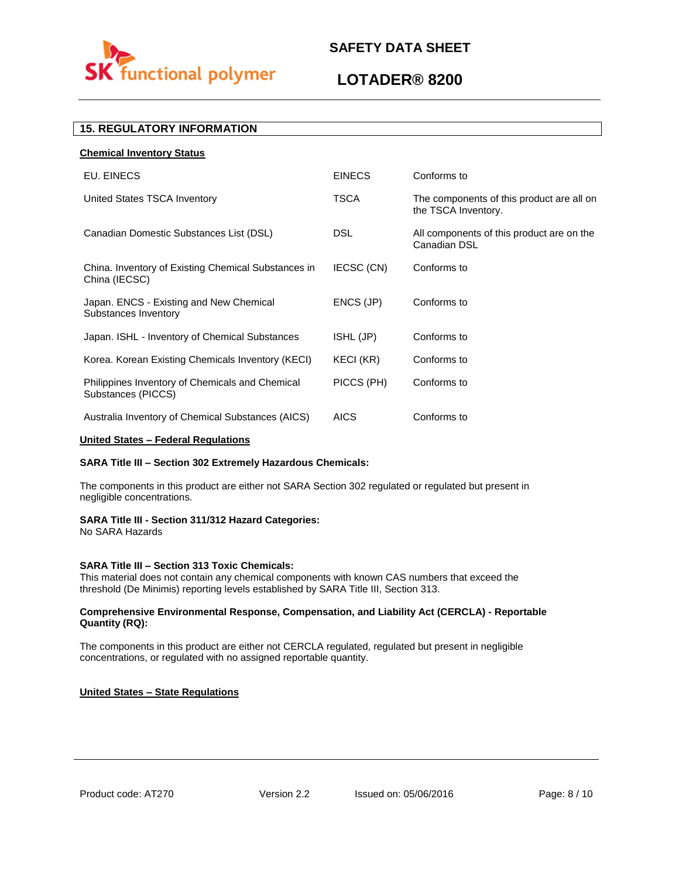

# **LOTADER® 8200**

# **15. REGULATORY INFORMATION**

| <b>Chemical Inventory Status</b>                                      |                  |                                                                  |
|-----------------------------------------------------------------------|------------------|------------------------------------------------------------------|
| EU. EINECS                                                            | <b>EINECS</b>    | Conforms to                                                      |
| United States TSCA Inventory                                          | <b>TSCA</b>      | The components of this product are all on<br>the TSCA Inventory. |
| Canadian Domestic Substances List (DSL)                               | <b>DSL</b>       | All components of this product are on the<br>Canadian DSL        |
| China. Inventory of Existing Chemical Substances in<br>China (IECSC)  | IECSC (CN)       | Conforms to                                                      |
| Japan. ENCS - Existing and New Chemical<br>Substances Inventory       | ENCS (JP)        | Conforms to                                                      |
| Japan. ISHL - Inventory of Chemical Substances                        | ISHL (JP)        | Conforms to                                                      |
| Korea. Korean Existing Chemicals Inventory (KECI)                     | <b>KECI (KR)</b> | Conforms to                                                      |
| Philippines Inventory of Chemicals and Chemical<br>Substances (PICCS) | PICCS (PH)       | Conforms to                                                      |
| Australia Inventory of Chemical Substances (AICS)                     | <b>AICS</b>      | Conforms to                                                      |

## **United States – Federal Regulations**

## **SARA Title III – Section 302 Extremely Hazardous Chemicals:**

The components in this product are either not SARA Section 302 regulated or regulated but present in negligible concentrations.

#### **SARA Title III - Section 311/312 Hazard Categories:**

No SARA Hazards

## **SARA Title III – Section 313 Toxic Chemicals:**

This material does not contain any chemical components with known CAS numbers that exceed the threshold (De Minimis) reporting levels established by SARA Title III, Section 313.

## **Comprehensive Environmental Response, Compensation, and Liability Act (CERCLA) - Reportable Quantity (RQ):**

The components in this product are either not CERCLA regulated, regulated but present in negligible concentrations, or regulated with no assigned reportable quantity.

## **United States – State Regulations**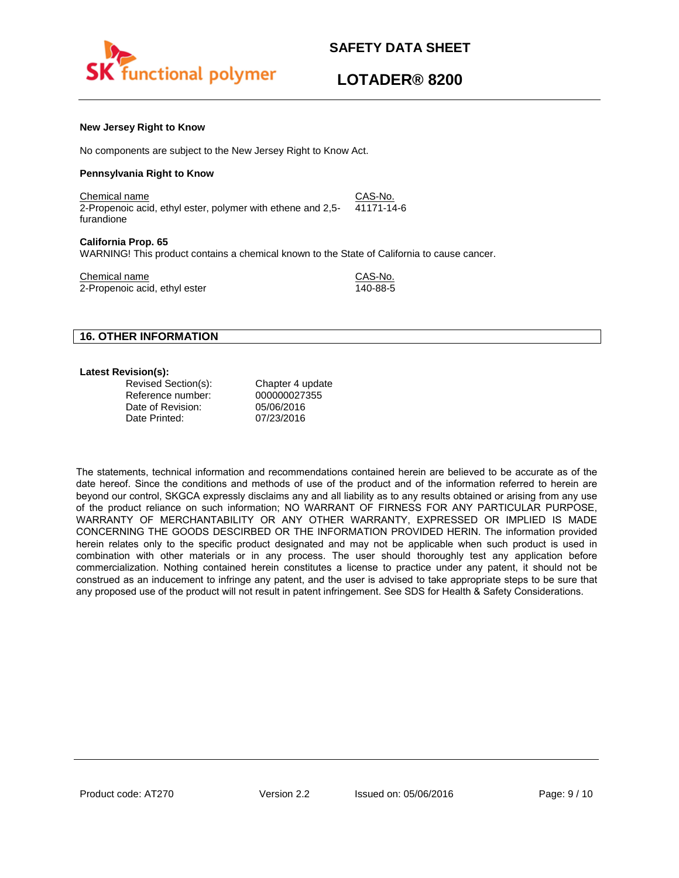

# **LOTADER® 8200**

#### **New Jersey Right to Know**

No components are subject to the New Jersey Right to Know Act.

#### **Pennsylvania Right to Know**

Chemical name CAS-No. 2-Propenoic acid, ethyl ester, polymer with ethene and 2,5 furandione 41171-14-6

#### **California Prop. 65**

WARNING! This product contains a chemical known to the State of California to cause cancer.

Chemical name<br>
2-Propenoic acid. ethyl ester<br>
2-Propenoic acid. ethyl ester 2-Propenoic acid, ethyl ester

## **16. OTHER INFORMATION**

#### **Latest Revision(s):**

| Revised Section(s): |  |
|---------------------|--|
| Reference number:   |  |
| Date of Revision:   |  |
| Date Printed:       |  |

Chapter 4 update 000000027355 05/06/2016 07/23/2016

The statements, technical information and recommendations contained herein are believed to be accurate as of the date hereof. Since the conditions and methods of use of the product and of the information referred to herein are beyond our control, SKGCA expressly disclaims any and all liability as to any results obtained or arising from any use of the product reliance on such information; NO WARRANT OF FIRNESS FOR ANY PARTICULAR PURPOSE, WARRANTY OF MERCHANTABILITY OR ANY OTHER WARRANTY, EXPRESSED OR IMPLIED IS MADE CONCERNING THE GOODS DESCIRBED OR THE INFORMATION PROVIDED HERIN. The information provided herein relates only to the specific product designated and may not be applicable when such product is used in combination with other materials or in any process. The user should thoroughly test any application before commercialization. Nothing contained herein constitutes a license to practice under any patent, it should not be construed as an inducement to infringe any patent, and the user is advised to take appropriate steps to be sure that any proposed use of the product will not result in patent infringement. See SDS for Health & Safety Considerations.